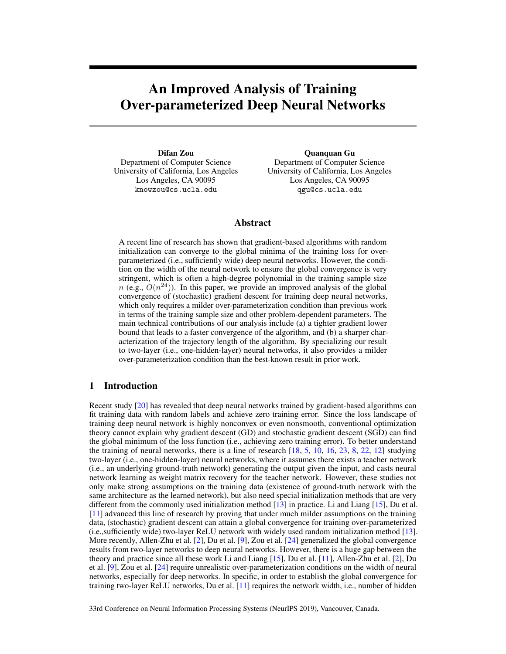# An Improved Analysis of Training Over-parameterized Deep Neural Networks

Difan Zou Department of Computer Science University of California, Los Angeles Los Angeles, CA 90095 knowzou@cs.ucla.edu

Quanquan Gu Department of Computer Science University of California, Los Angeles Los Angeles, CA 90095 qgu@cs.ucla.edu

# Abstract

A recent line of research has shown that gradient-based algorithms with random initialization can converge to the global minima of the training loss for overparameterized (i.e., sufficiently wide) deep neural networks. However, the condition on the width of the neural network to ensure the global convergence is very stringent, which is often a high-degree polynomial in the training sample size  $n$  (e.g.,  $O(n^{24})$ ). In this paper, we provide an improved analysis of the global convergence of (stochastic) gradient descent for training deep neural networks, which only requires a milder over-parameterization condition than previous work in terms of the training sample size and other problem-dependent parameters. The main technical contributions of our analysis include (a) a tighter gradient lower bound that leads to a faster convergence of the algorithm, and (b) a sharper characterization of the trajectory length of the algorithm. By specializing our result to two-layer (i.e., one-hidden-layer) neural networks, it also provides a milder over-parameterization condition than the best-known result in prior work.

# 1 Introduction

Recent study [20] has revealed that deep neural networks trained by gradient-based algorithms can fit training data with random labels and achieve zero training error. Since the loss landscape of training deep neural network is highly nonconvex or even nonsmooth, conventional optimization theory cannot explain why gradient descent (GD) and stochastic gradient descent (SGD) can find the global minimum of the loss function (i.e., achieving zero training error). To better understand the training of neural networks, there is a line of research  $[18, 5, 10, 16, 23, 8, 22, 12]$  studying two-layer (i.e., one-hidden-layer) neural networks, where it assumes there exists a teacher network (i.e., an underlying ground-truth network) generating the output given the input, and casts neural network learning as weight matrix recovery for the teacher network. However, these studies not only make strong assumptions on the training data (existence of ground-truth network with the same architecture as the learned network), but also need special initialization methods that are very different from the commonly used initialization method [13] in practice. Li and Liang [15], Du et al. [11] advanced this line of research by proving that under much milder assumptions on the training data, (stochastic) gradient descent can attain a global convergence for training over-parameterized (i.e.,sufficiently wide) two-layer ReLU network with widely used random initialization method [13]. More recently, Allen-Zhu et al. [2], Du et al. [9], Zou et al. [24] generalized the global convergence results from two-layer networks to deep neural networks. However, there is a huge gap between the theory and practice since all these work Li and Liang [15], Du et al. [11], Allen-Zhu et al. [2], Du et al. [9], Zou et al. [24] require unrealistic over-parameterization conditions on the width of neural networks, especially for deep networks. In specific, in order to establish the global convergence for training two-layer ReLU networks, Du et al. [11] requires the network width, i.e., number of hidden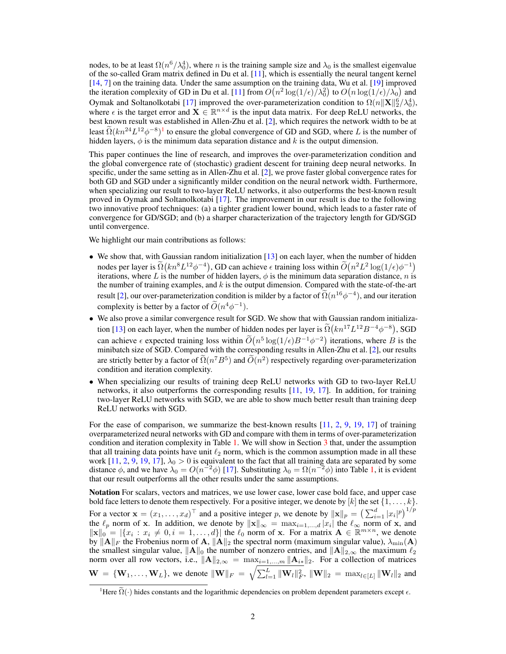nodes, to be at least  $\Omega(n^6/\lambda_0^4)$ , where *n* is the training sample size and  $\lambda_0$  is the smallest eigenvalue of the so-called Gram matrix defined in Du et al. [11], which is essentially the neural tangent kernel [14, 7] on the training data. Under the same assumption on the training data, Wu et al. [19] improved the iteration complexity of GD in Du et al. [11] from  $O(n^2 \log(1/\epsilon)/\lambda_0^2)$  to  $O(n \log(1/\epsilon)/\lambda_0)$  and Oymak and Soltanolkotabi [17] improved the over-parameterization condition to  $\Omega(n||\mathbf{X}||_2^6/\lambda_0^4)$ , where  $\epsilon$  is the target error and  $\mathbf{X} \in \mathbb{R}^{n \times d}$  is the input data matrix. For deep ReLU networks, the best known result was established in Allen-Zhu et al. [2], which requires the network width to be at least  $\Omega(kn^{24}L^{12}\phi^{-8})$ <sup>1</sup> to ensure the global convergence of GD and SGD, where L is the number of hidden layers,  $\phi$  is the minimum data separation distance and k is the output dimension.

This paper continues the line of research, and improves the over-parameterization condition and the global convergence rate of (stochastic) gradient descent for training deep neural networks. In specific, under the same setting as in Allen-Zhu et al. [2], we prove faster global convergence rates for both GD and SGD under a significantly milder condition on the neural network width. Furthermore, when specializing our result to two-layer ReLU networks, it also outperforms the best-known result proved in Oymak and Soltanolkotabi [17]. The improvement in our result is due to the following two innovative proof techniques: (a) a tighter gradient lower bound, which leads to a faster rate of convergence for GD/SGD; and (b) a sharper characterization of the trajectory length for GD/SGD until convergence.

We highlight our main contributions as follows:

- We show that, with Gaussian random initialization [13] on each layer, when the number of hidden nodes per layer is  $\Omega(kn^8L^{12}\phi^{-4})$ , GD can achieve  $\epsilon$  training loss within  $\widetilde{O}(n^2L^2\log(1/\epsilon)\phi^{-1})$ iterations, where L is the number of hidden layers,  $\phi$  is the minimum data separation distance, n is the number of training examples, and  $k$  is the output dimension. Compared with the state-of-the-art result [2], our over-parameterization condition is milder by a factor of  $\tilde{\Omega}(n^{16}\phi^{-4})$ , and our iteration complexity is better by a factor of  $\tilde{O}(n^4\phi^{-1})$ .
- We also prove a similar convergence result for SGD. We show that with Gaussian random initialization [13] on each layer, when the number of hidden nodes per layer is  $\Omega(kn^{17}L^{12}B^{-4}\phi^{-8})$ , SGD can achieve  $\epsilon$  expected training loss within  $\tilde{O}(n^5 \log(1/\epsilon)B^{-1}\phi^{-2})$  iterations, where B is the minibatch size of SGD. Compared with the corresponding results in Allen-Zhu et al. [2], our results are strictly better by a factor of  $\tilde{\Omega}(n^7B^5)$  and  $\tilde{O}(n^2)$  respectively regarding over-parameterization condition and iteration complexity.
- When specializing our results of training deep ReLU networks with GD to two-layer ReLU networks, it also outperforms the corresponding results [11, 19, 17]. In addition, for training two-layer ReLU networks with SGD, we are able to show much better result than training deep ReLU networks with SGD.

For the ease of comparison, we summarize the best-known results [11, 2, 9, 19, 17] of training overparameterized neural networks with GD and compare with them in terms of over-parameterization condition and iteration complexity in Table 1. We will show in Section 3 that, under the assumption that all training data points have unit  $\ell_2$  norm, which is the common assumption made in all these work [11, 2, 9, 19, 17],  $\lambda_0 > 0$  is equivalent to the fact that all training data are separated by some distance  $\phi$ , and we have  $\lambda_0 = O(n^{-2}\phi)$  [17]. Substituting  $\lambda_0 = \Omega(n^{-2}\phi)$  into Table 1, it is evident that our result outperforms all the other results under the same assumptions.

Notation For scalars, vectors and matrices, we use lower case, lower case bold face, and upper case bold face letters to denote them respectively. For a positive integer, we denote by  $[k]$  the set  $\{1, \ldots, k\}$ . For a vector  $\mathbf{x} = (x_1, \dots, x_d)^\top$  and a positive integer p, we denote by  $\|\mathbf{x}\|_p = \left(\sum_{i=1}^d |x_i|^p\right)^{1/p}$ the  $\ell_p$  norm of x. In addition, we denote by  $\|\mathbf{x}\|_{\infty} = \max_{i=1,\dots,d} |x_i|$  the  $\ell_{\infty}$  norm of x, and  $\|\mathbf{x}\|_{0}^{P} = |\{x_i : x_i \neq 0, i = 1, \ldots, d\}|$  the  $\ell_0$  norm of x. For a matrix  $\mathbf{A} \in \mathbb{R}^{m \times n}$ , we denote by  $\|\mathbf{A}\|_F$  the Frobenius norm of A,  $\|\mathbf{A}\|_2$  the spectral norm (maximum singular value),  $\lambda_{\min}(\mathbf{A})$ the smallest singular value,  $||A||_0$  the number of nonzero entries, and  $||A||_{2,\infty}$  the maximum  $\ell_2$ norm over all row vectors, i.e.,  $\|\mathbf{A}\|_{2,\infty} = \max_{i=1,\dots,m} \|\mathbf{A}_{i*}\|_2$ . For a collection of matrices  $\mathbf{W} = \{\mathbf{W}_1, \dots, \mathbf{W}_L\}$ , we denote  $\|\mathbf{W}\|_F = \sqrt{\sum_{l=1}^L \|\mathbf{W}_l\|_F^2}$ ,  $\|\mathbf{W}\|_2 = \max_{l \in [L]} \|\mathbf{W}_l\|_2$  and

<sup>&</sup>lt;sup>1</sup>Here  $\tilde{\Omega}(\cdot)$  hides constants and the logarithmic dependencies on problem dependent parameters except  $\epsilon$ .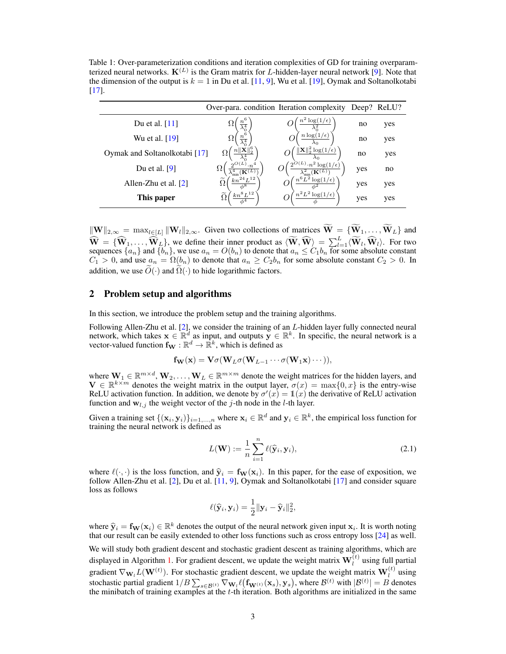Table 1: Over-parameterization conditions and iteration complexities of GD for training overparamterized neural networks.  $K^{(L)}$  is the Gram matrix for L-hidden-layer neural network [9]. Note that the dimension of the output is  $k = 1$  in Du et al. [11, 9], Wu et al. [19], Oymak and Soltanolkotabi [17].

|                               |                                                                   | Over-para. condition Iteration complexity                                   |     | Deep? ReLU? |
|-------------------------------|-------------------------------------------------------------------|-----------------------------------------------------------------------------|-----|-------------|
| Du et al. $[11]$              | Тı<br>$\overline{\lambda_0^4}$                                    | log(<br>$\epsilon$ )                                                        | no  | yes         |
| Wu et al. [19]                | Ω<br>$\overline{\lambda_0^4}$                                     | $n \log(1)$<br>$\epsilon$                                                   | no  | yes         |
| Oymak and Soltanolkotabi [17] |                                                                   | $\ \mathbf{X}\ _{2}^{2}\log(1/\epsilon)$                                    | no  | yes         |
| Du et al. $[9]$               | $2^{O(L)}\cdot n^4$<br>75<br>$\lambda_{\min}^4(\mathbf{K}^{(L)})$ | $2^{O(L)}\cdot n^2 \log(1/\epsilon)$<br>$\lambda_{\rm min}^2({\bf K}^{(L)}$ | yes | no          |
| Allen-Zhu et al. $[2]$        | $kn^{24}L^{12}$<br>$\widetilde{\Omega}$<br>$\phi^8$               | $n^6L^2\log(1/\epsilon)$                                                    | yes | yes         |
| This paper                    | $\frac{k n^8 L^{12}}{2}$ .<br>$\phi^4$                            | $n^2L^2\log(1/\epsilon)$                                                    | yes | yes         |

 $\|\mathbf{W}\|_{2,\infty} = \max_{l \in [L]} \|\mathbf{W}_l\|_{2,\infty}$ . Given two collections of matrices  $\widetilde{\mathbf{W}} = {\{\mathbf{\widetilde{W}}_1,\ldots,\mathbf{\widetilde{W}}_L\}}$  and  $\widehat{W} = \{\widehat{W}_1, \ldots, \widehat{W}_L\}$ , we define their inner product as  $\langle \widetilde{W}, \widehat{W} \rangle = \sum_{l=1}^L \langle \widetilde{W}_l, \widehat{W}_l \rangle$ . For two sequences  $\{a_n\}$  and  $\{b_n\}$ , we use  $a_n = O(b_n)$  to denote that  $a_n \le C_1 b_n$  for some absolute c  $C_1 > 0$ , and use  $a_n = \Omega(b_n)$  to denote that  $a_n \geq C_2 b_n$  for some absolute constant  $C_2 > 0$ . In addition, we use  $\tilde{O}(\cdot)$  and  $\tilde{\Omega}(\cdot)$  to hide logarithmic factors.

### 2 Problem setup and algorithms

In this section, we introduce the problem setup and the training algorithms.

Following Allen-Zhu et al. [2], we consider the training of an L-hidden layer fully connected neural network, which takes  $\mathbf{x} \in \mathbb{R}^d$  as input, and outputs  $\mathbf{y} \in \mathbb{R}^k$ . In specific, the neural network is a vector-valued function  $f_{\mathbf{W}} : \mathbb{R}^d \to \mathbb{R}^k$ , which is defined as

$$
\mathbf{f}_{\mathbf{W}}(\mathbf{x}) = \mathbf{V}\sigma(\mathbf{W}_L\sigma(\mathbf{W}_{L-1}\cdots\sigma(\mathbf{W}_1\mathbf{x})\cdots)),
$$

where  $W_1 \in \mathbb{R}^{m \times d}$ ,  $W_2, \ldots, W_L \in \mathbb{R}^{m \times m}$  denote the weight matrices for the hidden layers, and  $\mathbf{V} \in \mathbb{R}^{k \times m}$  denotes the weight matrix in the output layer,  $\sigma(x) = \max\{0, x\}$  is the entry-wise ReLU activation function. In addition, we denote by  $\sigma'(x) = \mathbb{1}(x)$  the derivative of ReLU activation function and  $w_{l,j}$  the weight vector of the j-th node in the l-th layer.

Given a training set  $\{(\mathbf{x}_i, \mathbf{y}_i)\}_{i=1,\dots,n}$  where  $\mathbf{x}_i \in \mathbb{R}^d$  and  $\mathbf{y}_i \in \mathbb{R}^k$ , the empirical loss function for training the neural network is defined as

$$
L(\mathbf{W}) := \frac{1}{n} \sum_{i=1}^{n} \ell(\widehat{\mathbf{y}}_i, \mathbf{y}_i),
$$
\n(2.1)

where  $\ell(\cdot, \cdot)$  is the loss function, and  $\hat{y}_i = f_W(x_i)$ . In this paper, for the ease of exposition, we follow Allen-Zhu et al. [2], Du et al. [11, 9], Oymak and Soltanolkotabi [17] and consider square loss as follows

$$
\ell(\widehat{\mathbf{y}}_i, \mathbf{y}_i) = \frac{1}{2} ||\mathbf{y}_i - \widehat{\mathbf{y}}_i||_2^2,
$$

where  $\hat{\mathbf{y}}_i = \mathbf{f}_{\mathbf{W}}(\mathbf{x}_i) \in \mathbb{R}^k$  denotes the output of the neural network given input  $\mathbf{x}_i$ . It is worth noting that our result can be easily extended to other loss functions such as cross entrow loss [ that our result can be easily extended to other loss functions such as cross entropy loss [24] as well.

We will study both gradient descent and stochastic gradient descent as training algorithms, which are displayed in Algorithm 1. For gradient descent, we update the weight matrix  $\mathbf{W}_{l}^{(t)}$  using full partial gradient  $\nabla_{\mathbf{W}_l} L(\mathbf{W}^{(t)})$ . For stochastic gradient descent, we update the weight matrix  $\mathbf{W}_l^{(t)}$  using stochastic partial gradient  $1/B\sum_{s\in\mathcal{B}^{(t)}}\nabla_{\mathbf{W}_l}\ell\big(\mathbf{f}_{\mathbf{W}^{(t)}}(\mathbf{x}_s),\mathbf{y}_s\big),$  where  $\mathcal{B}^{(t)}$  with  $|\mathcal{B}^{(t)}|=B$  denotes the minibatch of training examples at the t-th iteration. Both algorithms are initialized in the same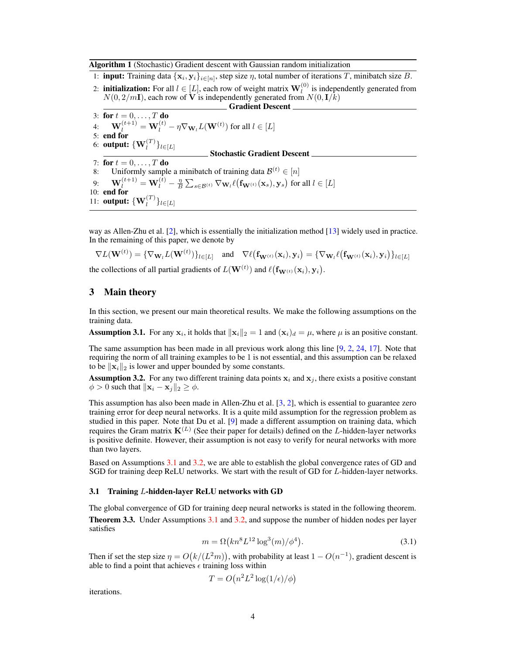Algorithm 1 (Stochastic) Gradient descent with Gaussian random initialization

1: **input:** Training data  $\{x_i, y_i\}_{i \in [n]}$ , step size  $\eta$ , total number of iterations T, minibatch size B.

2: **initialization:** For all  $l \in [L]$ , each row of weight matrix  $\mathbf{W}_{l}^{(0)}$  is independently generated from  $N(0, 2/mI)$ , each row of V is independently generated from  $N(0, I/k)$ 

 $\_$  Gradient Descent  $\_$ 3: for  $t = 0, \ldots, T$  do 4:  $\mathbf{W}_{l}^{(t+1)} = \mathbf{W}_{l}^{(t)} - \eta \nabla_{\mathbf{W}_{l}} L(\mathbf{W}^{(t)})$  for all  $l \in [L]$ 5: end for 6: output:  $\{ {\bf W}^{(T)}_l \}_{l \in [L]}$ Stochastic Gradient Descent 7: for  $t = 0, \ldots, T$  do 8: Uniformly sample a minibatch of training data  $\mathcal{B}^{(t)} \in [n]$  $\mathbf{W}_l^{(t+1)} = \mathbf{W}_l^{(t)} - \frac{\eta}{B}\sum_{s \in \mathcal{B}^{(t)}} \nabla_{\mathbf{W}_l} \ell\big(\mathbf{f}_{\mathbf{W}^{(t)}}(\mathbf{x}_s), \mathbf{y}_s\big) \text{ for all } l \in [L]$ 10: end for 11: **output:**  $\{W_l^{(T)}\}_{l \in [L]}$ 

way as Allen-Zhu et al. [2], which is essentially the initialization method [13] widely used in practice. In the remaining of this paper, we denote by

$$
\nabla L(\mathbf{W}^{(t)}) = \{\nabla_{\mathbf{W}_l} L(\mathbf{W}^{(t)})\}_{l \in [L]} \quad \text{and} \quad \nabla \ell(\mathbf{f}_{\mathbf{W}^{(t)}}(\mathbf{x}_i), \mathbf{y}_i) = \{\nabla_{\mathbf{W}_l} \ell(\mathbf{f}_{\mathbf{W}^{(t)}}(\mathbf{x}_i), \mathbf{y}_i)\}_{l \in [L]}
$$

the collections of all partial gradients of  $L({\bf W}^{(t)})$  and  $\ell({\bf f}_{{\bf W}^{(t)}}({\bf x}_i),{\bf y}_i)$ .

# 3 Main theory

In this section, we present our main theoretical results. We make the following assumptions on the training data.

**Assumption 3.1.** For any  $x_i$ , it holds that  $\|\mathbf{x}_i\|_2 = 1$  and  $(\mathbf{x}_i)_d = \mu$ , where  $\mu$  is an positive constant.

The same assumption has been made in all previous work along this line [9, 2, 24, 17]. Note that requiring the norm of all training examples to be 1 is not essential, and this assumption can be relaxed to be  $\|\mathbf{x}_i\|_2$  is lower and upper bounded by some constants.

**Assumption 3.2.** For any two different training data points  $x_i$  and  $x_j$ , there exists a positive constant  $\phi > 0$  such that  $\|\mathbf{x}_i - \mathbf{x}_j\|_2 \geq \phi$ .

This assumption has also been made in Allen-Zhu et al. [3, 2], which is essential to guarantee zero training error for deep neural networks. It is a quite mild assumption for the regression problem as studied in this paper. Note that Du et al. [9] made a different assumption on training data, which requires the Gram matrix  $K^{(L)}$  (See their paper for details) defined on the L-hidden-layer networks is positive definite. However, their assumption is not easy to verify for neural networks with more than two layers.

Based on Assumptions 3.1 and 3.2, we are able to establish the global convergence rates of GD and SGD for training deep ReLU networks. We start with the result of GD for L-hidden-layer networks.

#### 3.1 Training L-hidden-layer ReLU networks with GD

The global convergence of GD for training deep neural networks is stated in the following theorem. Theorem 3.3. Under Assumptions 3.1 and 3.2, and suppose the number of hidden nodes per layer satisfies

$$
m = \Omega\left(kn^8 L^{12} \log^3(m)/\phi^4\right).
$$
 (3.1)

Then if set the step size  $\eta = O(k/(L^2m))$ , with probability at least  $1 - O(n^{-1})$ , gradient descent is able to find a point that achieves  $\epsilon$  training loss within

$$
T = O(n^2 L^2 \log(1/\epsilon)/\phi)
$$

iterations.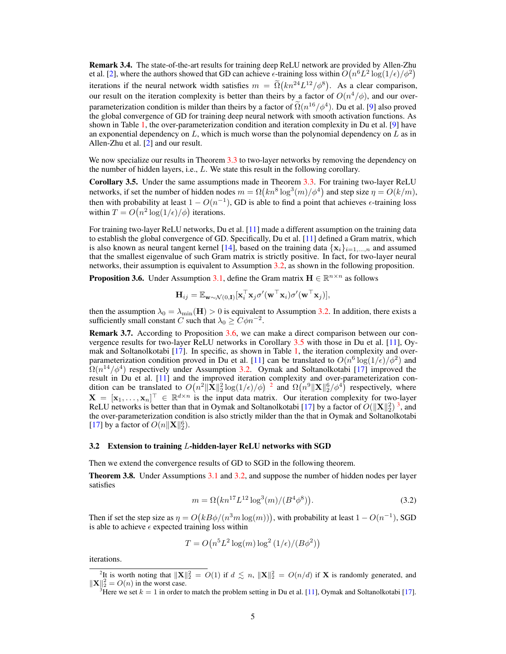Remark 3.4. The state-of-the-art results for training deep ReLU network are provided by Allen-Zhu et al. [2], where the authors showed that GD can achieve  $\epsilon$ -training loss within  $O(n^6L^2 \log(1/\epsilon)/\phi^2)$ iterations if the neural network width satisfies  $m = \tilde{\Omega}(kn^{24}L^{12}/\phi^8)$ . As a clear comparison, our result on the iteration complexity is better than theirs by a factor of  $O(n^4/\phi)$ , and our overparameterization condition is milder than theirs by a factor of  $\tilde{\Omega}(n^{16}/\phi^4)$ . Du et al. [9] also proved<br>the alghel equivagence of GD for training deep namel actually with smaple estimating functions. As the global convergence of GD for training deep neural network with smooth activation functions. As shown in Table 1, the over-parameterization condition and iteration complexity in Du et al. [9] have an exponential dependency on  $L$ , which is much worse than the polynomial dependency on  $L$  as in Allen-Zhu et al. [2] and our result.

We now specialize our results in Theorem 3.3 to two-layer networks by removing the dependency on the number of hidden layers, i.e., L. We state this result in the following corollary.

Corollary 3.5. Under the same assumptions made in Theorem 3.3. For training two-layer ReLU networks, if set the number of hidden nodes  $m = \Omega(kn^8 \log^3(m)/\phi^4)$  and step size  $\eta = O(k/m)$ , then with probability at least  $1 - O(n^{-1})$ , GD is able to find a point that achieves  $\epsilon$ -training loss within  $T = O(n^2 \log(1/\epsilon)/\phi)$  iterations.

For training two-layer ReLU networks, Du et al. [11] made a different assumption on the training data to establish the global convergence of GD. Specifically, Du et al. [11] defined a Gram matrix, which is also known as neural tangent kernel [14], based on the training data  $\{x_i\}_{i=1,\dots,n}$  and assumed that the smallest eigenvalue of such Gram matrix is strictly positive. In fact, for two-layer neural networks, their assumption is equivalent to Assumption 3.2, as shown in the following proposition.

**Proposition 3.6.** Under Assumption 3.1, define the Gram matrix  $\mathbf{H} \in \mathbb{R}^{n \times n}$  as follows

$$
\mathbf{H}_{ij} = \mathbb{E}_{\mathbf{w} \sim \mathcal{N}(0,\mathbf{I})}[\mathbf{x}_i^\top \mathbf{x}_j \sigma'(\mathbf{w}^\top \mathbf{x}_i) \sigma'(\mathbf{w}^\top \mathbf{x}_j)],
$$

then the assumption  $\lambda_0 = \lambda_{\min}(\mathbf{H}) > 0$  is equivalent to Assumption 3.2. In addition, there exists a sufficiently small constant C such that  $\lambda_0 \geq C \phi n^{-2}$ .

Remark 3.7. According to Proposition 3.6, we can make a direct comparison between our convergence results for two-layer ReLU networks in Corollary 3.5 with those in Du et al. [11], Oymak and Soltanolkotabi [17]. In specific, as shown in Table 1, the iteration complexity and overparameterization condition proved in Du et al. [11] can be translated to  $O(n^6 \log(1/\epsilon)/\phi^2)$  and  $\Omega(n^{14}/\phi^4)$  respectively under Assumption 3.2. Oymak and Soltanolkotabi [17] improved the result in Du et al. [11] and the improved iteration complexity and over-parameterization condition can be translated to  $O(n^2 \|\bar{\mathbf{X}}\|_2^2 \log(1/\epsilon)/\phi)^{-2}$  and  $\Omega(n^9 \|\mathbf{X}\|_2^6/\phi^4)$  respectively, where  $\mathbf{X} = [\mathbf{x}_1,\ldots,\mathbf{x}_n]^\top \in \mathbb{R}^{d \times n}$  is the input data matrix. Our iteration complexity for two-layer ReLU networks is better than that in Oymak and Soltanolkotabi [17] by a factor of  $O(\|\mathbf{X}\|_2^2)^3$ , and the over-parameterization condition is also strictly milder than the that in Oymak and Soltanolkotabi [17] by a factor of  $O(n||\mathbf{X}||_2^6)$ .

#### 3.2 Extension to training L-hidden-layer ReLU networks with SGD

Then we extend the convergence results of GD to SGD in the following theorem.

Theorem 3.8. Under Assumptions 3.1 and 3.2, and suppose the number of hidden nodes per layer satisfies

$$
m = \Omega\left(kn^{17}L^{12}\log^3(m)/(B^4\phi^8)\right).
$$
 (3.2)

Then if set the step size as  $\eta = O(kB\phi/(n^3m\log(m)))$ , with probability at least  $1 - O(n^{-1})$ , SGD is able to achieve  $\epsilon$  expected training loss within

$$
T = O\left(n^5 L^2 \log(m) \log^2\left(1/\epsilon\right) / \left(B\phi^2\right)\right)
$$

iterations.

<sup>&</sup>lt;sup>2</sup>It is worth noting that  $||\mathbf{X}||_2^2 = O(1)$  if  $d \lesssim n$ ,  $||\mathbf{X}||_2^2 = O(n/d)$  if **X** is randomly generated, and  $\|\mathbf{X}\|_2^2 = O(n)$  in the worst case.

<sup>&</sup>lt;sup>3</sup>Here we set  $k = 1$  in order to match the problem setting in Du et al. [11], Oymak and Soltanolkotabi [17].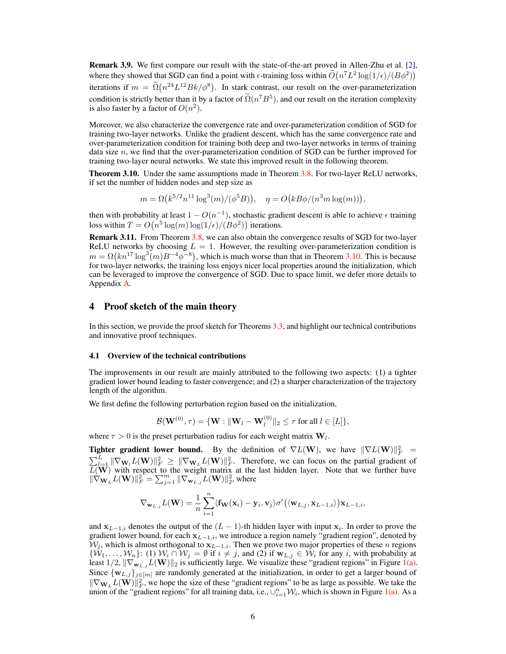Remark 3.9. We first compare our result with the state-of-the-art proved in Allen-Zhu et al. [2], where they showed that SGD can find a point with  $\epsilon$ -training loss within  $\tilde{O}(n^7L^2 \log(1/\epsilon)/(B\phi^2))$ iterations if  $m = \tilde{\Omega}(n^{24}L^{12}Bk/\phi^8)$ . In stark contrast, our result on the over-parameterization condition is strictly better than it by a factor of  $\tilde{\Omega}(n^7B^5)$ , and our result on the iteration complexity is also faster by a factor of  $O(n^2)$ .

Moreover, we also characterize the convergence rate and over-parameterization condition of SGD for training two-layer networks. Unlike the gradient descent, which has the same convergence rate and over-parameterization condition for training both deep and two-layer networks in terms of training data size  $n$ , we find that the over-parameterization condition of SGD can be further improved for training two-layer neural networks. We state this improved result in the following theorem.

Theorem 3.10. Under the same assumptions made in Theorem 3.8. For two-layer ReLU networks, if set the number of hidden nodes and step size as

 $m = \Omega(k^{5/2}n^{11}\log^3(m)/(\phi^5B)), \quad \eta = O(kB\phi/(n^3m\log(m))),$ 

then with probability at least  $1 - O(n^{-1})$ , stochastic gradient descent is able to achieve  $\epsilon$  training loss within  $T = O(n^5 \log(m) \log(1/\epsilon)/(B\phi^2))$  iterations.

Remark 3.11. From Theorem 3.8, we can also obtain the convergence results of SGD for two-layer ReLU networks by choosing  $L = 1$ . However, the resulting over-parameterization condition is  $m = \Omega(kn^{17} \log^3(m) B^{-4} \phi^{-8})$ , which is much worse than that in Theorem 3.10. This is because for two-layer networks, the training loss enjoys nicer local properties around the initialization, which can be leveraged to improve the convergence of SGD. Due to space limit, we defer more details to Appendix A.

## 4 Proof sketch of the main theory

In this section, we provide the proof sketch for Theorems 3.3, and highlight our technical contributions and innovative proof techniques.

#### 4.1 Overview of the technical contributions

The improvements in our result are mainly attributed to the following two aspects: (1) a tighter gradient lower bound leading to faster convergence; and (2) a sharper characterization of the trajectory length of the algorithm.

We first define the following perturbation region based on the initialization,

$$
\mathcal{B}(\mathbf{W}^{(0)},\tau)=\{\mathbf{W}:\|\mathbf{W}_l-\mathbf{W}_l^{(0)}\|_2\leq \tau \text{ for all } l\in[L]\},\
$$

where  $\tau > 0$  is the preset perturbation radius for each weight matrix  $\mathbf{W}_l$ .

**Tighter gradient lower bound.** By the definition of  $\nabla L(\mathbf{W})$ , we have  $\|\nabla L(\mathbf{W})\|_F^2$  =  $\sum_{l=1}^{L} \|\nabla_{\mathbf{W}_l}L(\mathbf{W})\|_F^2 \geq \|\nabla_{\mathbf{W}_L}L(\mathbf{W})\|_F^2$ . Therefore, we can focus on the partial gradient of  $L(\mathbf{W})$  with respect to the weight matrix at the last hidden layer. Note that we further have  $\|\nabla_{\mathbf{W}_L}L(\mathbf{W})\|_F^2 = \sum_{j=1}^m \|\nabla_{\mathbf{W}_L,j}L(\mathbf{W})\|_2^2$ , where

$$
\nabla_{\mathbf{w}_{L,j}}L(\mathbf{W}) = \frac{1}{n} \sum_{i=1}^n \langle \mathbf{f}_{\mathbf{W}}(\mathbf{x}_i) - \mathbf{y}_i, \mathbf{v}_j \rangle \sigma' \big( \langle \mathbf{w}_{L,j}, \mathbf{x}_{L-1,i} \rangle \big) \mathbf{x}_{L-1,i},
$$

and  $x_{L-1,i}$  denotes the output of the  $(L-1)$ -th hidden layer with input  $x_i$ . In order to prove the gradient lower bound, for each  $x_{L-1,i}$ , we introduce a region namely "gradient region", denoted by  $W_j$ , which is almost orthogonal to  $x_{L-1,i}$ . Then we prove two major properties of these n regions  $\{W_1,\ldots,W_n\}$ : (1)  $W_i \cap W_j = \emptyset$  if  $i \neq j$ , and (2) if  $w_{L,j} \in W_i$  for any i, with probability at least  $1/2$ ,  $\|\nabla_{\mathbf{w}_{L,i}}L(\mathbf{W})\|_2$  is sufficiently large. We visualize these "gradient regions" in Figure 1(a). Since  $\{w_{L,j}\}_{j\in[m]}$  are randomly generated at the initialization, in order to get a larger bound of  $\|\nabla_{\mathbf{W}_L} L(\mathbf{W})\|_F^2$ , we hope the size of these "gradient regions" to be as large as possible. We take the union of the "gradient regions" for all training data, i.e.,  $\bigcup_{i=1}^n \mathcal{W}_i$ , which is shown in Figure 1(a). As a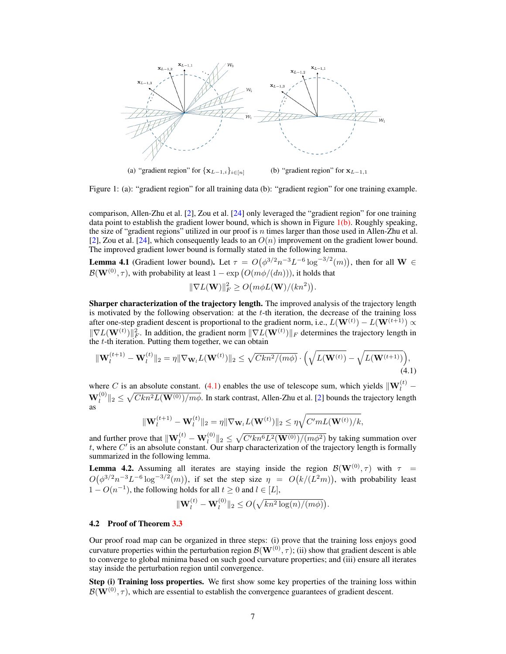

Figure 1: (a): "gradient region" for all training data (b): "gradient region" for one training example.

comparison, Allen-Zhu et al. [2], Zou et al. [24] only leveraged the "gradient region" for one training data point to establish the gradient lower bound, which is shown in Figure  $1(b)$ . Roughly speaking, the size of "gradient regions" utilized in our proof is n times larger than those used in Allen-Zhu et al. [2], Zou et al. [24], which consequently leads to an  $O(n)$  improvement on the gradient lower bound. The improved gradient lower bound is formally stated in the following lemma.

**Lemma 4.1** (Gradient lower bound). Let  $\tau = O(\phi^{3/2} n^{-3} L^{-6} \log^{-3/2}(m))$ , then for all W  $\in$  $\mathcal{B}(\mathbf{W}^{(0)},\tau)$ , with probability at least  $1-\exp\left(O(m\phi/(dn))\right)$ , it holds that

$$
\|\nabla L(\mathbf{W})\|_F^2 \geq O\big(m\phi L(\mathbf{W})/(kn^2)\big)
$$

.

Sharper characterization of the trajectory length. The improved analysis of the trajectory length is motivated by the following observation: at the  $t$ -th iteration, the decrease of the training loss after one-step gradient descent is proportional to the gradient norm, i.e.,  $L(\mathbf{W}^{(t)}) - L(\mathbf{W}^{(t+1)}) \propto$  $\|\nabla L(\mathbf{W}^{(t)})\|_F^2$ . In addition, the gradient norm  $\|\nabla L(\mathbf{W}^{(t)})\|_F$  determines the trajectory length in the  $t$ -th iteration. Putting them together, we can obtain

$$
\|\mathbf{W}_{l}^{(t+1)} - \mathbf{W}_{l}^{(t)}\|_{2} = \eta \|\nabla_{\mathbf{W}_{l}} L(\mathbf{W}^{(t)})\|_{2} \leq \sqrt{Ckn^{2}/(m\phi)} \cdot \left(\sqrt{L(\mathbf{W}^{(t)})} - \sqrt{L(\mathbf{W}^{(t+1)})}\right),\tag{4.1}
$$

where C is an absolute constant. (4.1) enables the use of telescope sum, which yields  $\|\mathbf{W}_{l}^{(t)} \textbf{W}_{l}^{(0)}\|_2\leq \sqrt{Ckn^2L(\textbf{W}^{(0)})/m\phi}.$  In stark contrast, Allen-Zhu et al. [2] bounds the trajectory length as

$$
\|\mathbf{W}_{l}^{(t+1)} - \mathbf{W}_{l}^{(t)}\|_{2} = \eta \|\nabla_{\mathbf{W}_{l}}L(\mathbf{W}^{(t)})\|_{2} \leq \eta \sqrt{C' m L(\mathbf{W}^{(t)})/k},
$$

and further prove that  $\|\mathbf{W}^{(t)}_l - \mathbf{W}^{(0)}_l\|_2 \leq \sqrt{C'kn^6L^2(\mathbf{W}^{(0)})/(m\phi^2)}$  by taking summation over t, where  $C'$  is an absolute constant. Our sharp characterization of the trajectory length is formally summarized in the following lemma.

**Lemma 4.2.** Assuming all iterates are staying inside the region  $\mathcal{B}(\mathbf{W}^{(0)}, \tau)$  with  $\tau =$  $O(\phi^{3/2}n^{-3}L^{-6}\log^{-3/2}(m))$ , if set the step size  $\eta = O(k/(L^2m))$ , with probability least  $1 - O(n^{-1})$ , the following holds for all  $t \ge 0$  and  $l \in [L]$ ,

$$
\|\mathbf{W}_{l}^{(t)} - \mathbf{W}_{l}^{(0)}\|_{2} \leq O\left(\sqrt{kn^{2}\log(n)/(m\phi)}\right).
$$

### 4.2 Proof of Theorem 3.3

Our proof road map can be organized in three steps: (i) prove that the training loss enjoys good curvature properties within the perturbation region  $\mathcal{B}(\mathbf{W}^{(0)}, \tau)$ ; (ii) show that gradient descent is able to converge to global minima based on such good curvature properties; and (iii) ensure all iterates stay inside the perturbation region until convergence.

Step (i) Training loss properties. We first show some key properties of the training loss within  $\mathcal{B}(\mathbf{W}^{(0)}, \tau)$ , which are essential to establish the convergence guarantees of gradient descent.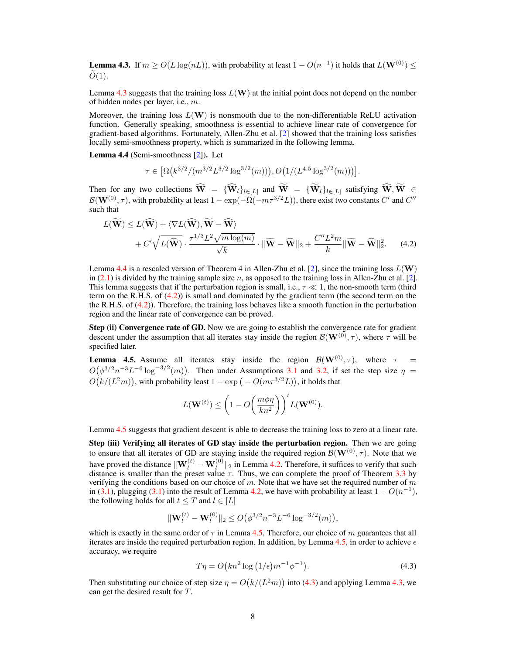**Lemma 4.3.** If  $m \ge O(L \log(nL))$ , with probability at least  $1 - O(n^{-1})$  it holds that  $L(\mathbf{W}^{(0)}) \le$  $O(1)$ .

Lemma 4.3 suggests that the training loss  $L(W)$  at the initial point does not depend on the number of hidden nodes per layer, i.e., m.

Moreover, the training loss  $L(\mathbf{W})$  is nonsmooth due to the non-differentiable ReLU activation function. Generally speaking, smoothness is essential to achieve linear rate of convergence for gradient-based algorithms. Fortunately, Allen-Zhu et al. [2] showed that the training loss satisfies locally semi-smoothness property, which is summarized in the following lemma.

Lemma 4.4 (Semi-smoothness [2]). Let

$$
\tau \in \left[ \Omega \left( k^{3/2} / (m^{3/2} L^{3/2} \log^{3/2} (m)) \right), O \left( 1 / (L^{4.5} \log^{3/2} (m)) \right) \right].
$$

Then for any two collections  $\widehat{W} = {\widehat{W}_l}_{l\in[L]}$  and  $\widetilde{W} = {\widetilde{W}_l}_{l\in[L]}$  satisfying  $\widehat{W}, \widetilde{W} \in$  $\mathcal{B}(\mathbf{W}^{(0)},\tau)$ , with probability at least  $1 - \exp(-\Omega(-m\tau^{3/2}L))$ , there exist two constants  $C'$  and  $C''$ such that

$$
L(\widetilde{\mathbf{W}}) \leq L(\widehat{\mathbf{W}}) + \langle \nabla L(\widehat{\mathbf{W}}), \widetilde{\mathbf{W}} - \widehat{\mathbf{W}} \rangle + C' \sqrt{L(\widehat{\mathbf{W}})} \cdot \frac{\tau^{1/3} L^2 \sqrt{m \log(m)}}{\sqrt{k}} \cdot \|\widetilde{\mathbf{W}} - \widehat{\mathbf{W}}\|_2 + \frac{C'' L^2 m}{k} \|\widetilde{\mathbf{W}} - \widehat{\mathbf{W}}\|_2^2.
$$
 (4.2)

Lemma 4.4 is a rescaled version of Theorem 4 in Allen-Zhu et al. [2], since the training loss  $L(\mathbf{W})$ in (2.1) is divided by the training sample size n, as opposed to the training loss in Allen-Zhu et al. [2]. This lemma suggests that if the perturbation region is small, i.e.,  $\tau \ll 1$ , the non-smooth term (third term on the R.H.S. of (4.2)) is small and dominated by the gradient term (the second term on the the R.H.S. of (4.2)). Therefore, the training loss behaves like a smooth function in the perturbation region and the linear rate of convergence can be proved.

Step (ii) Convergence rate of GD. Now we are going to establish the convergence rate for gradient descent under the assumption that all iterates stay inside the region  $\mathcal{B}(\mathbf{W}^{(0)}, \tau)$ , where  $\tau$  will be specified later.

**Lemma 4.5.** Assume all iterates stay inside the region  $\mathcal{B}(\mathbf{W}^{(0)}, \tau)$ , where  $\tau =$  $O(\phi^{3/2}n^{-3}L^{-6}\log^{-3/2}(m))$ . Then under Assumptions 3.1 and 3.2, if set the step size  $\eta$  =  $O(k/(L^2m))$ , with probability least  $1 - \exp(-\frac{O(m\tau^{3/2}L)}{L})$ , it holds that

$$
L(\mathbf{W}^{(t)}) \leq \left(1 - O\left(\frac{m\phi\eta}{kn^2}\right)\right)^t L(\mathbf{W}^{(0)}).
$$

Lemma 4.5 suggests that gradient descent is able to decrease the training loss to zero at a linear rate.

Step (iii) Verifying all iterates of GD stay inside the perturbation region. Then we are going to ensure that all iterates of GD are staying inside the required region  $\mathcal{B}(\mathbf{W}^{(0)}, \tau)$ . Note that we have proved the distance  $\|\mathbf{W}^{(t)}_l - \mathbf{W}^{(0)}_l\|_2$  in Lemma 4.2. Therefore, it suffices to verify that such distance is smaller than the preset value  $\tau$ . Thus, we can complete the proof of Theorem 3.3 by verifying the conditions based on our choice of m. Note that we have set the required number of m in (3.1), plugging (3.1) into the result of Lemma 4.2, we have with probability at least  $1 - O(n^{-1})$ , the following holds for all  $t \leq T$  and  $l \in [L]$ 

$$
\|\mathbf{W}_{l}^{(t)} - \mathbf{W}_{l}^{(0)}\|_{2} \le O\big(\phi^{3/2} n^{-3} L^{-6} \log^{-3/2}(m)\big),
$$

which is exactly in the same order of  $\tau$  in Lemma 4.5. Therefore, our choice of m guarantees that all iterates are inside the required perturbation region. In addition, by Lemma 4.5, in order to achieve  $\epsilon$ accuracy, we require

$$
T\eta = O\left(kn^2\log\left(1/\epsilon\right)m^{-1}\phi^{-1}\right). \tag{4.3}
$$

Then substituting our choice of step size  $\eta = O(k/(L^2m))$  into (4.3) and applying Lemma 4.3, we can get the desired result for T.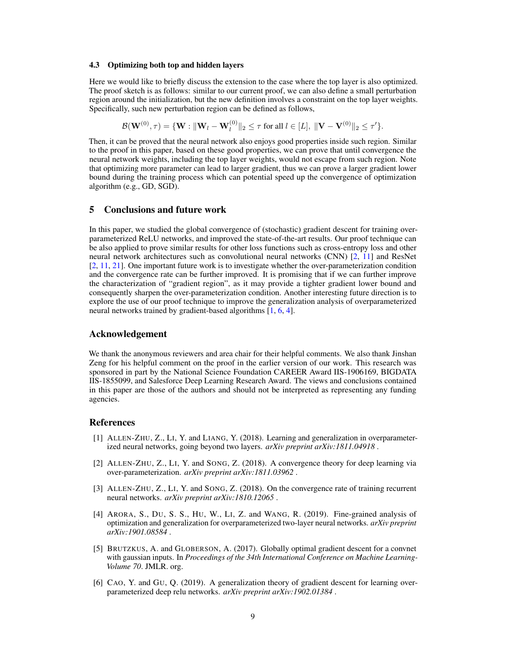#### 4.3 Optimizing both top and hidden layers

Here we would like to briefly discuss the extension to the case where the top layer is also optimized. The proof sketch is as follows: similar to our current proof, we can also define a small perturbation region around the initialization, but the new definition involves a constraint on the top layer weights. Specifically, such new perturbation region can be defined as follows,

$$
\mathcal{B}(\mathbf{W}^{(0)},\tau) = \{\mathbf{W}: \|\mathbf{W}_l - \mathbf{W}_l^{(0)}\|_2 \leq \tau \text{ for all } l \in [L], \ \|\mathbf{V} - \mathbf{V}^{(0)}\|_2 \leq \tau'\}.
$$

Then, it can be proved that the neural network also enjoys good properties inside such region. Similar to the proof in this paper, based on these good properties, we can prove that until convergence the neural network weights, including the top layer weights, would not escape from such region. Note that optimizing more parameter can lead to larger gradient, thus we can prove a larger gradient lower bound during the training process which can potential speed up the convergence of optimization algorithm (e.g., GD, SGD).

# 5 Conclusions and future work

In this paper, we studied the global convergence of (stochastic) gradient descent for training overparameterized ReLU networks, and improved the state-of-the-art results. Our proof technique can be also applied to prove similar results for other loss functions such as cross-entropy loss and other neural network architectures such as convolutional neural networks (CNN) [2, 11] and ResNet [2, 11, 21]. One important future work is to investigate whether the over-parameterization condition and the convergence rate can be further improved. It is promising that if we can further improve the characterization of "gradient region", as it may provide a tighter gradient lower bound and consequently sharpen the over-parameterization condition. Another interesting future direction is to explore the use of our proof technique to improve the generalization analysis of overparameterized neural networks trained by gradient-based algorithms [1, 6, 4].

## Acknowledgement

We thank the anonymous reviewers and area chair for their helpful comments. We also thank Jinshan Zeng for his helpful comment on the proof in the earlier version of our work. This research was sponsored in part by the National Science Foundation CAREER Award IIS-1906169, BIGDATA IIS-1855099, and Salesforce Deep Learning Research Award. The views and conclusions contained in this paper are those of the authors and should not be interpreted as representing any funding agencies.

## References

- [1] ALLEN-ZHU, Z., LI, Y. and LIANG, Y. (2018). Learning and generalization in overparameterized neural networks, going beyond two layers. *arXiv preprint arXiv:1811.04918* .
- [2] ALLEN-ZHU, Z., LI, Y. and SONG, Z. (2018). A convergence theory for deep learning via over-parameterization. *arXiv preprint arXiv:1811.03962* .
- [3] ALLEN-ZHU, Z., LI, Y. and SONG, Z. (2018). On the convergence rate of training recurrent neural networks. *arXiv preprint arXiv:1810.12065* .
- [4] ARORA, S., DU, S. S., HU, W., LI, Z. and WANG, R. (2019). Fine-grained analysis of optimization and generalization for overparameterized two-layer neural networks. *arXiv preprint arXiv:1901.08584* .
- [5] BRUTZKUS, A. and GLOBERSON, A. (2017). Globally optimal gradient descent for a convnet with gaussian inputs. In *Proceedings of the 34th International Conference on Machine Learning-Volume 70*. JMLR. org.
- [6] CAO, Y. and GU, Q. (2019). A generalization theory of gradient descent for learning overparameterized deep relu networks. *arXiv preprint arXiv:1902.01384* .